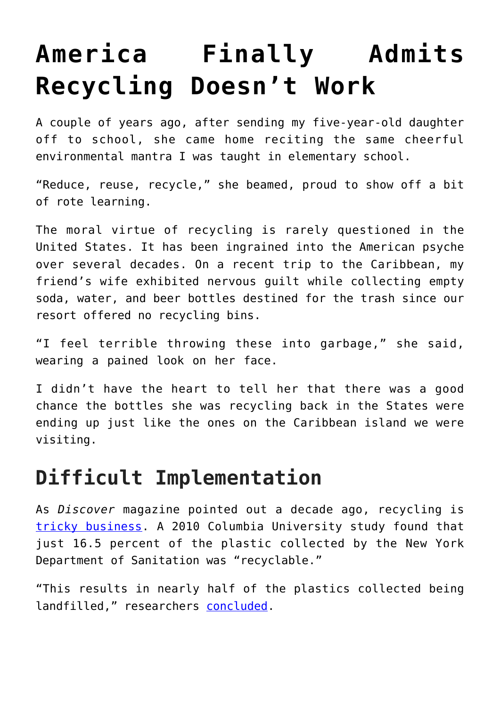# **[America Finally Admits](https://intellectualtakeout.org/2019/03/america-finally-admits-recycling-doesnt-work/) [Recycling Doesn't Work](https://intellectualtakeout.org/2019/03/america-finally-admits-recycling-doesnt-work/)**

A couple of years ago, after sending my five-year-old daughter off to school, she came home reciting the same cheerful environmental mantra I was taught in elementary school.

"Reduce, reuse, recycle," she beamed, proud to show off a bit of rote learning.

The moral virtue of recycling is rarely questioned in the United States. It has been ingrained into the American psyche over several decades. On a recent trip to the Caribbean, my friend's wife exhibited nervous guilt while collecting empty soda, water, and beer bottles destined for the trash since our resort offered no recycling bins.

"I feel terrible throwing these into garbage," she said, wearing a pained look on her face.

I didn't have the heart to tell her that there was a good chance the bottles she was recycling back in the States were ending up just like the ones on the Caribbean island we were visiting.

#### **Difficult Implementation**

As *Discover* magazine pointed out a decade ago, recycling is [tricky business](http://discovermagazine.com/2009/jul-aug/06-when-recycling-is-bad-for-the-environment). A 2010 Columbia University study found that just 16.5 percent of the plastic collected by the New York Department of Sanitation was "recyclable."

"This results in nearly half of the plastics collected being landfilled," researchers [concluded.](http://www.seas.columbia.edu/earth/wtert/sofos/bhatti_thesis.pdf)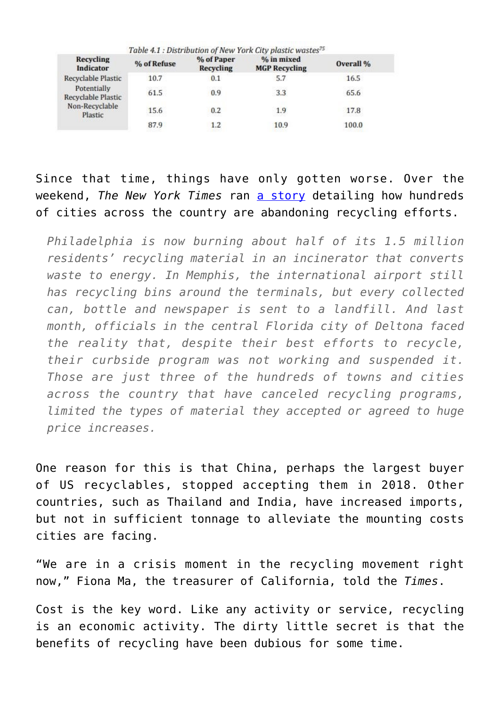| Table 4.1 : Distribution of New York City plastic wastes <sup>75</sup> |             |                         |                                    |           |
|------------------------------------------------------------------------|-------------|-------------------------|------------------------------------|-----------|
| <b>Recycling</b><br>Indicator                                          | % of Refuse | % of Paper<br>Recycling | % in mixed<br><b>MGP Recycling</b> | Overall % |
| Recyclable Plastic                                                     | 10.7        | 0.1                     | 5.7                                | 16.5      |
| Potentially<br>Recyclable Plastic<br>Non-Recyclable<br>Plastic         | 61.5        | 0.9                     | 3.3                                | 65.6      |
|                                                                        | 15.6        | 0.2                     | 1.9                                | 17.8      |
|                                                                        | 87.9        | 1.2                     | 10.9                               | 100.0     |

Since that time, things have only gotten worse. Over the weekend, *The New York Times* ran [a story](https://www.nytimes.com/1996/06/30/magazine/recycling-is-garbage.html) detailing how hundreds of cities across the country are abandoning recycling efforts.

*Philadelphia is now burning about half of its 1.5 million residents' recycling material in an incinerator that converts waste to energy. In Memphis, the international airport still has recycling bins around the terminals, but every collected can, bottle and newspaper is sent to a landfill. And last month, officials in the central Florida city of Deltona faced the reality that, despite their best efforts to recycle, their curbside program was not working and suspended it. Those are just three of the hundreds of towns and cities across the country that have canceled recycling programs, limited the types of material they accepted or agreed to huge price increases.*

One reason for this is that China, perhaps the largest buyer of US recyclables, stopped accepting them in 2018. Other countries, such as Thailand and India, have increased imports, but not in sufficient tonnage to alleviate the mounting costs cities are facing.

"We are in a crisis moment in the recycling movement right now," Fiona Ma, the treasurer of California, told the *Times*.

Cost is the key word. Like any activity or service, recycling is an economic activity. The dirty little secret is that the benefits of recycling have been dubious for some time.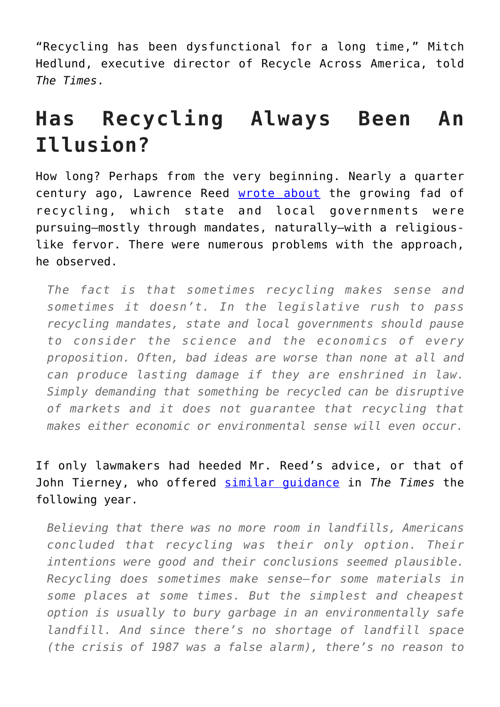"Recycling has been dysfunctional for a long time," Mitch Hedlund, executive director of Recycle Across America, told *The Times*.

## **Has Recycling Always Been An Illusion?**

How long? Perhaps from the very beginning. Nearly a quarter century ago, Lawrence Reed [wrote about](https://fee.org/articles/recycling-myths/) the growing fad of recycling, which state and local governments were pursuing—mostly through mandates, naturally—with a religiouslike fervor. There were numerous problems with the approach, he observed.

*The fact is that sometimes recycling makes sense and sometimes it doesn't. In the legislative rush to pass recycling mandates, state and local governments should pause to consider the science and the economics of every proposition. Often, bad ideas are worse than none at all and can produce lasting damage if they are enshrined in law. Simply demanding that something be recycled can be disruptive of markets and it does not guarantee that recycling that makes either economic or environmental sense will even occur.*

If only lawmakers had heeded Mr. Reed's advice, or that of John Tierney, who offered [similar guidance](https://www.nytimes.com/1996/06/30/magazine/recycling-is-garbage.html) in *The Times* the following year.

*Believing that there was no more room in landfills, Americans concluded that recycling was their only option. Their intentions were good and their conclusions seemed plausible. Recycling does sometimes make sense–for some materials in some places at some times. But the simplest and cheapest option is usually to bury garbage in an environmentally safe landfill. And since there's no shortage of landfill space (the crisis of 1987 was a false alarm), there's no reason to*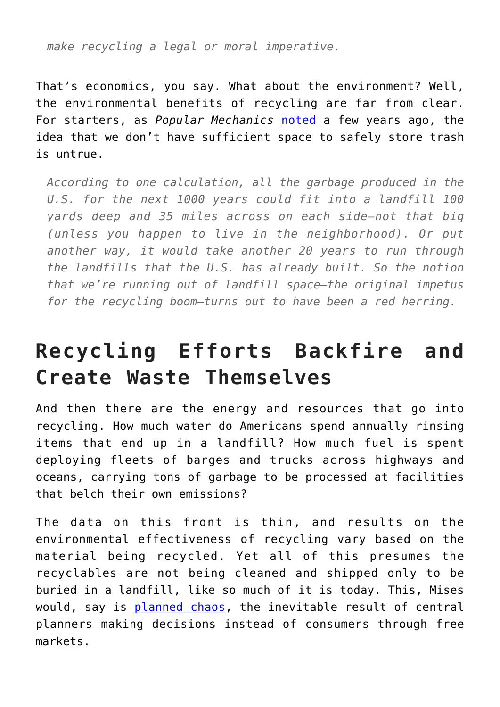*make recycling a legal or moral imperative.*

That's economics, you say. What about the environment? Well, the environmental benefits of recycling are far from clear. For starters, as *Popular Mechanics* [noted](https://www.popularmechanics.com/science/environment/a3752/4291566/) a few years ago, the idea that we don't have sufficient space to safely store trash is untrue.

*According to one calculation, all the garbage produced in the U.S. for the next 1000 years could fit into a landfill 100 yards deep and 35 miles across on each side–not that big (unless you happen to live in the neighborhood). Or put another way, it would take another 20 years to run through the landfills that the U.S. has already built. So the notion that we're running out of landfill space–the original impetus for the recycling boom–turns out to have been a red herring.*

### **Recycling Efforts Backfire and Create Waste Themselves**

And then there are the energy and resources that go into recycling. How much water do Americans spend annually rinsing items that end up in a landfill? How much fuel is spent deploying fleets of barges and trucks across highways and oceans, carrying tons of garbage to be processed at facilities that belch their own emissions?

The data on this front is thin, and results on the environmental effectiveness of recycling vary based on the material being recycled. Yet all of this presumes the recyclables are not being cleaned and shipped only to be buried in a landfill, like so much of it is today. This, Mises would, say is [planned chaos](https://www.libertarianism.org/publications/essays/planned-chaos-biography-ludwig-von-mises), the inevitable result of central planners making decisions instead of consumers through free markets.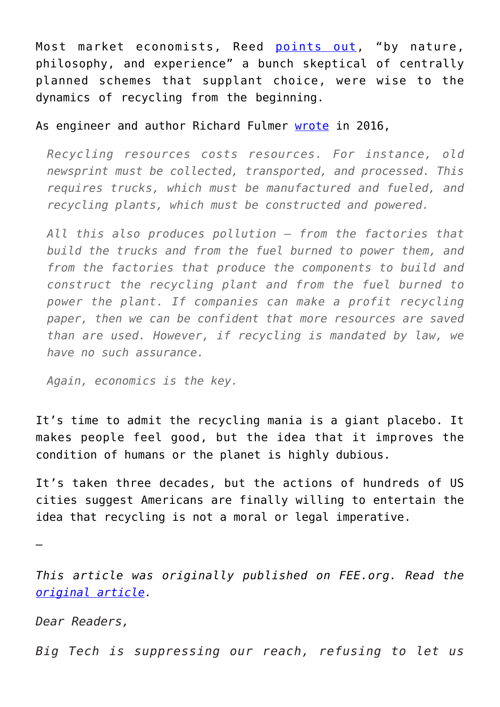Most market economists, Reed [points out](https://fee.org/articles/recycling-myths/), "by nature, philosophy, and experience" a bunch skeptical of centrally planned schemes that supplant choice, were wise to the dynamics of recycling from the beginning.

#### As engineer and author Richard Fulmer [wrote](https://fee.org/articles/whats-wrong-with-the-three-rs-of-environmentalism/) in 2016,

*Recycling resources costs resources. For instance, old newsprint must be collected, transported, and processed. This requires trucks, which must be manufactured and fueled, and recycling plants, which must be constructed and powered.*

*All this also produces pollution – from the factories that build the trucks and from the fuel burned to power them, and from the factories that produce the components to build and construct the recycling plant and from the fuel burned to power the plant. If companies can make a profit recycling paper, then we can be confident that more resources are saved than are used. However, if recycling is mandated by law, we have no such assurance.*

*Again, economics is the key.*

It's time to admit the recycling mania is a giant placebo. It makes people feel good, but the idea that it improves the condition of humans or the planet is highly dubious.

It's taken three decades, but the actions of hundreds of US cities suggest Americans are finally willing to entertain the idea that recycling is not a moral or legal imperative.

—

*This article was originally published on FEE.org. Read the [original article.](https://fee.org/articles/america-finally-admits-recycling-doesn-t-work/)*

*Dear Readers,*

*Big Tech is suppressing our reach, refusing to let us*